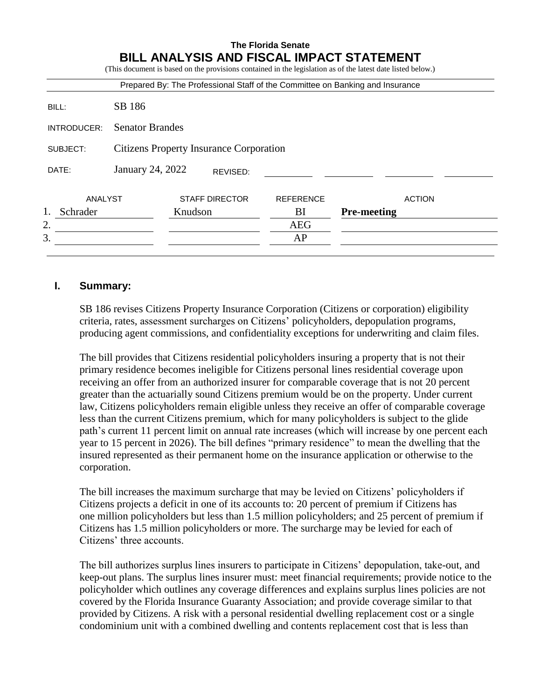|                    |                                                |         |                       |                  | Prepared By: The Professional Staff of the Committee on Banking and Insurance |  |  |  |
|--------------------|------------------------------------------------|---------|-----------------------|------------------|-------------------------------------------------------------------------------|--|--|--|
| BILL:              | SB 186                                         |         |                       |                  |                                                                               |  |  |  |
| <b>INTRODUCER:</b> | <b>Senator Brandes</b>                         |         |                       |                  |                                                                               |  |  |  |
| SUBJECT:           | <b>Citizens Property Insurance Corporation</b> |         |                       |                  |                                                                               |  |  |  |
| DATE:              | January 24, 2022                               |         | REVISED:              |                  |                                                                               |  |  |  |
| ANALYST            |                                                |         | <b>STAFF DIRECTOR</b> | <b>REFERENCE</b> | <b>ACTION</b>                                                                 |  |  |  |
| 1.<br>Schrader     |                                                | Knudson |                       | BI               | <b>Pre-meeting</b>                                                            |  |  |  |
| 2.                 |                                                |         |                       | AEG              |                                                                               |  |  |  |
| 3.                 |                                                |         |                       | AP               |                                                                               |  |  |  |

## **I. Summary:**

SB 186 revises Citizens Property Insurance Corporation (Citizens or corporation) eligibility criteria, rates, assessment surcharges on Citizens' policyholders, depopulation programs, producing agent commissions, and confidentiality exceptions for underwriting and claim files.

The bill provides that Citizens residential policyholders insuring a property that is not their primary residence becomes ineligible for Citizens personal lines residential coverage upon receiving an offer from an authorized insurer for comparable coverage that is not 20 percent greater than the actuarially sound Citizens premium would be on the property. Under current law, Citizens policyholders remain eligible unless they receive an offer of comparable coverage less than the current Citizens premium, which for many policyholders is subject to the glide path's current 11 percent limit on annual rate increases (which will increase by one percent each year to 15 percent in 2026). The bill defines "primary residence" to mean the dwelling that the insured represented as their permanent home on the insurance application or otherwise to the corporation.

The bill increases the maximum surcharge that may be levied on Citizens' policyholders if Citizens projects a deficit in one of its accounts to: 20 percent of premium if Citizens has one million policyholders but less than 1.5 million policyholders; and 25 percent of premium if Citizens has 1.5 million policyholders or more. The surcharge may be levied for each of Citizens' three accounts.

The bill authorizes surplus lines insurers to participate in Citizens' depopulation, take-out, and keep-out plans. The surplus lines insurer must: meet financial requirements; provide notice to the policyholder which outlines any coverage differences and explains surplus lines policies are not covered by the Florida Insurance Guaranty Association; and provide coverage similar to that provided by Citizens. A risk with a personal residential dwelling replacement cost or a single condominium unit with a combined dwelling and contents replacement cost that is less than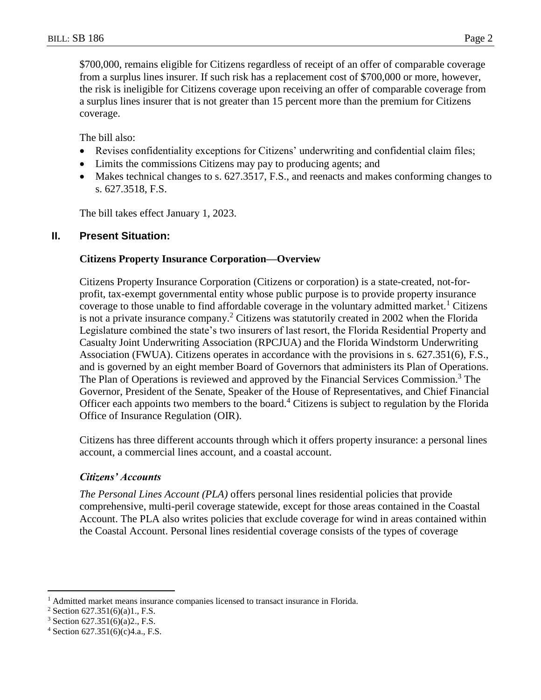\$700,000, remains eligible for Citizens regardless of receipt of an offer of comparable coverage from a surplus lines insurer. If such risk has a replacement cost of \$700,000 or more, however, the risk is ineligible for Citizens coverage upon receiving an offer of comparable coverage from a surplus lines insurer that is not greater than 15 percent more than the premium for Citizens coverage.

The bill also:

- Revises confidentiality exceptions for Citizens' underwriting and confidential claim files;
- Limits the commissions Citizens may pay to producing agents; and
- Makes technical changes to s. 627.3517, F.S., and reenacts and makes conforming changes to s. 627.3518, F.S.

The bill takes effect January 1, 2023.

#### **II. Present Situation:**

#### **Citizens Property Insurance Corporation—Overview**

Citizens Property Insurance Corporation (Citizens or corporation) is a state-created, not-forprofit, tax-exempt governmental entity whose public purpose is to provide property insurance coverage to those unable to find affordable coverage in the voluntary admitted market.<sup>1</sup> Citizens is not a private insurance company.<sup>2</sup> Citizens was statutorily created in 2002 when the Florida Legislature combined the state's two insurers of last resort, the Florida Residential Property and Casualty Joint Underwriting Association (RPCJUA) and the Florida Windstorm Underwriting Association (FWUA). Citizens operates in accordance with the provisions in s. 627.351(6), F.S., and is governed by an eight member Board of Governors that administers its Plan of Operations. The Plan of Operations is reviewed and approved by the Financial Services Commission.<sup>3</sup> The Governor, President of the Senate, Speaker of the House of Representatives, and Chief Financial Officer each appoints two members to the board.<sup>4</sup> Citizens is subject to regulation by the Florida Office of Insurance Regulation (OIR).

Citizens has three different accounts through which it offers property insurance: a personal lines account, a commercial lines account, and a coastal account.

### *Citizens' Accounts*

*The Personal Lines Account (PLA)* offers personal lines residential policies that provide comprehensive, multi-peril coverage statewide, except for those areas contained in the Coastal Account. The PLA also writes policies that exclude coverage for wind in areas contained within the Coastal Account. Personal lines residential coverage consists of the types of coverage

<sup>&</sup>lt;sup>1</sup> Admitted market means insurance companies licensed to transact insurance in Florida.

 $2$  Section 627.351(6)(a)1., F.S.

<sup>3</sup> Section 627.351(6)(a)2., F.S.

<sup>4</sup> Section 627.351(6)(c)4.a., F.S.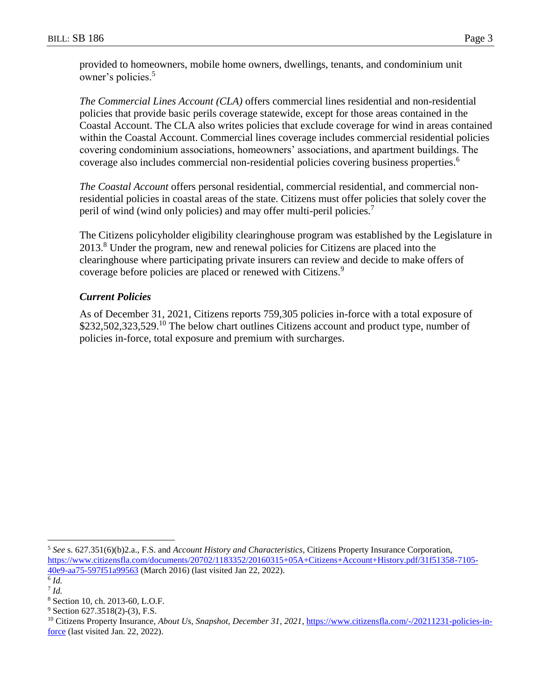provided to homeowners, mobile home owners, dwellings, tenants, and condominium unit owner's policies.<sup>5</sup>

*The Commercial Lines Account (CLA)* offers commercial lines residential and non-residential policies that provide basic perils coverage statewide, except for those areas contained in the Coastal Account. The CLA also writes policies that exclude coverage for wind in areas contained within the Coastal Account. Commercial lines coverage includes commercial residential policies covering condominium associations, homeowners' associations, and apartment buildings. The coverage also includes commercial non-residential policies covering business properties.<sup>6</sup>

*The Coastal Account* offers personal residential, commercial residential, and commercial nonresidential policies in coastal areas of the state. Citizens must offer policies that solely cover the peril of wind (wind only policies) and may offer multi-peril policies.<sup>7</sup>

The Citizens policyholder eligibility clearinghouse program was established by the Legislature in 2013.<sup>8</sup> Under the program, new and renewal policies for Citizens are placed into the clearinghouse where participating private insurers can review and decide to make offers of coverage before policies are placed or renewed with Citizens.<sup>9</sup>

## *Current Policies*

As of December 31, 2021, Citizens reports 759,305 policies in-force with a total exposure of \$232,502,323,529.<sup>10</sup> The below chart outlines Citizens account and product type, number of policies in-force, total exposure and premium with surcharges.

<sup>5</sup> *See* s. 627.351(6)(b)2.a., F.S. and *Account History and Characteristics*, Citizens Property Insurance Corporation, [https://www.citizensfla.com/documents/20702/1183352/20160315+05A+Citizens+Account+History.pdf/31f51358-7105-](https://www.citizensfla.com/documents/20702/1183352/20160315+05A+Citizens+Account+History.pdf/31f51358-7105-40e9-aa75-597f51a99563) [40e9-aa75-597f51a99563](https://www.citizensfla.com/documents/20702/1183352/20160315+05A+Citizens+Account+History.pdf/31f51358-7105-40e9-aa75-597f51a99563) (March 2016) (last visited Jan 22, 2022).

<sup>6</sup> *Id.* 7 *Id.*

<sup>8</sup> Section 10, ch. 2013-60, L.O.F.

 $9$  Section 627.3518(2)-(3), F.S.

<sup>&</sup>lt;sup>10</sup> Citizens Property Insurance, *About Us, Snapshot, December 31, 2021*, [https://www.citizensfla.com/-/20211231-policies-in](https://www.citizensfla.com/-/20211231-policies-in-force)[force](https://www.citizensfla.com/-/20211231-policies-in-force) (last visited Jan. 22, 2022).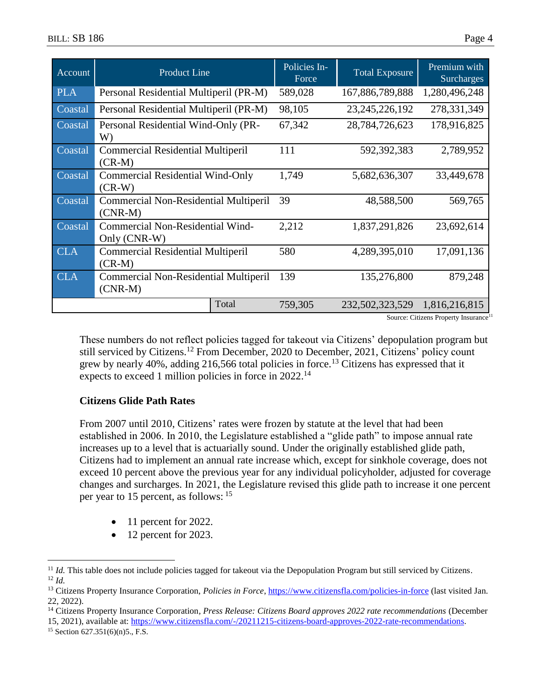| Account    | <b>Product Line</b>                                       | Policies In-<br>Force | <b>Total Exposure</b> | Premium with<br><b>Surcharges</b> |
|------------|-----------------------------------------------------------|-----------------------|-----------------------|-----------------------------------|
| <b>PLA</b> | Personal Residential Multiperil (PR-M)                    | 589,028               | 167,886,789,888       | 1,280,496,248                     |
| Coastal    | Personal Residential Multiperil (PR-M)                    | 98,105                | 23, 245, 226, 192     | 278,331,349                       |
| Coastal    | Personal Residential Wind-Only (PR-<br>W)                 | 67,342                | 28,784,726,623        | 178,916,825                       |
| Coastal    | <b>Commercial Residential Multiperil</b><br>$(CR-M)$      | 111                   | 592,392,383           | 2,789,952                         |
| Coastal    | <b>Commercial Residential Wind-Only</b><br>$(CR-W)$       | 1,749                 | 5,682,636,307         | 33,449,678                        |
| Coastal    | <b>Commercial Non-Residential Multiperil</b><br>$(CNR-M)$ | 39                    | 48,588,500            | 569,765                           |
| Coastal    | Commercial Non-Residential Wind-<br>Only (CNR-W)          | 2,212                 | 1,837,291,826         | 23,692,614                        |
| <b>CLA</b> | <b>Commercial Residential Multiperil</b><br>$(CR-M)$      | 580                   | 4,289,395,010         | 17,091,136                        |
| <b>CLA</b> | <b>Commercial Non-Residential Multiperil</b><br>$(CNR-M)$ | 139                   | 135,276,800           | 879,248                           |
|            | Total                                                     | 759,305               | 232,502,323,529       | 1,816,216,815                     |

Source: Citizens Property Insurance<sup>11</sup>

These numbers do not reflect policies tagged for takeout via Citizens' depopulation program but still serviced by Citizens.<sup>12</sup> From December, 2020 to December, 2021, Citizens' policy count grew by nearly 40%, adding 216,566 total policies in force.<sup>13</sup> Citizens has expressed that it expects to exceed 1 million policies in force in 2022.<sup>14</sup>

### **Citizens Glide Path Rates**

From 2007 until 2010, Citizens' rates were frozen by statute at the level that had been established in 2006. In 2010, the Legislature established a "glide path" to impose annual rate increases up to a level that is actuarially sound. Under the originally established glide path, Citizens had to implement an annual rate increase which, except for sinkhole coverage, does not exceed 10 percent above the previous year for any individual policyholder, adjusted for coverage changes and surcharges. In 2021, the Legislature revised this glide path to increase it one percent per year to 15 percent, as follows: <sup>15</sup>

- 11 percent for 2022.
- 12 percent for 2023.

15, 2021), available at: [https://www.citizensfla.com/-/20211215-citizens-board-approves-2022-rate-recommendations.](https://www.citizensfla.com/-/20211215-citizens-board-approves-2022-rate-recommendations)

<sup>15</sup> Section 627.351(6)(n)5., F.S.

<sup>&</sup>lt;sup>11</sup> *Id.* This table does not include policies tagged for takeout via the Depopulation Program but still serviced by Citizens. <sup>12</sup> *Id.*

<sup>&</sup>lt;sup>13</sup> Citizens Property Insurance Corporation, *Policies in Force*,<https://www.citizensfla.com/policies-in-force> (last visited Jan. 22, 2022).

<sup>14</sup> Citizens Property Insurance Corporation*, Press Release: Citizens Board approves 2022 rate recommendations* (December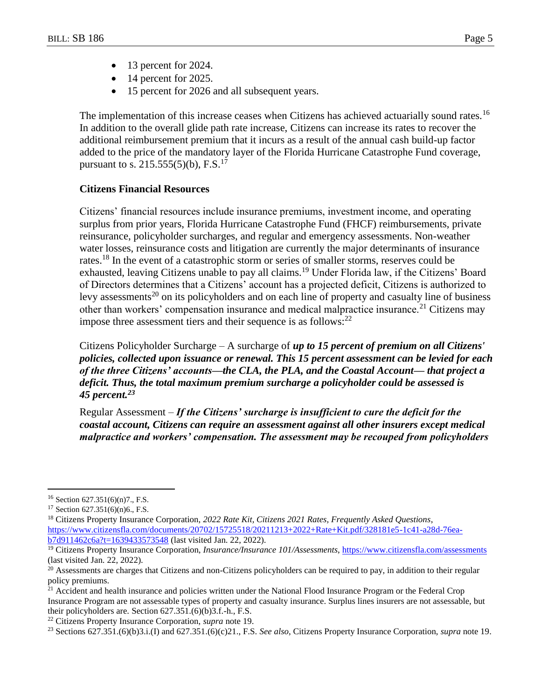- $\bullet$  13 percent for 2024.
- $\bullet$  14 percent for 2025.
- 15 percent for 2026 and all subsequent years.

The implementation of this increase ceases when Citizens has achieved actuarially sound rates.<sup>16</sup> In addition to the overall glide path rate increase, Citizens can increase its rates to recover the additional reimbursement premium that it incurs as a result of the annual cash build-up factor added to the price of the mandatory layer of the Florida Hurricane Catastrophe Fund coverage, pursuant to s.  $215.555(5)(b)$ , F.S.<sup>17</sup>

## **Citizens Financial Resources**

<span id="page-4-0"></span>Citizens' financial resources include insurance premiums, investment income, and operating surplus from prior years, Florida Hurricane Catastrophe Fund (FHCF) reimbursements, private reinsurance, policyholder surcharges, and regular and emergency assessments. Non-weather water losses, reinsurance costs and litigation are currently the major determinants of insurance rates.<sup>18</sup> In the event of a catastrophic storm or series of smaller storms, reserves could be exhausted, leaving Citizens unable to pay all claims.<sup>19</sup> Under Florida law, if the Citizens' Board of Directors determines that a Citizens' account has a projected deficit, Citizens is authorized to levy assessments<sup>20</sup> on its policyholders and on each line of property and casualty line of business other than workers' compensation insurance and medical malpractice insurance.<sup>21</sup> Citizens may impose three assessment tiers and their sequence is as follows: $^{22}$ 

Citizens Policyholder Surcharge – A surcharge of *up to 15 percent of premium on all Citizens' policies, collected upon issuance or renewal. This 15 percent assessment can be levied for each of the three Citizens' accounts—the CLA, the PLA, and the Coastal Account— that project a deficit. Thus, the total maximum premium surcharge a policyholder could be assessed is 45 percent.<sup>23</sup>*

Regular Assessment – *If the Citizens' surcharge is insufficient to cure the deficit for the coastal account, Citizens can require an assessment against all other insurers except medical malpractice and workers' compensation. The assessment may be recouped from policyholders* 

 $16$  Section 627.351(6)(n)7., F.S.

<sup>17</sup> Section 627.351(6)(n)6., F.S.

<sup>18</sup> Citizens Property Insurance Corporation, *2022 Rate Kit, Citizens 2021 Rates, Frequently Asked Questions*, [https://www.citizensfla.com/documents/20702/15725518/20211213+2022+Rate+Kit.pdf/328181e5-1c41-a28d-76ea](https://www.citizensfla.com/documents/20702/15725518/20211213+2022+Rate+Kit.pdf/328181e5-1c41-a28d-76ea-b7d911462c6a?t=1639433573548)[b7d911462c6a?t=1639433573548](https://www.citizensfla.com/documents/20702/15725518/20211213+2022+Rate+Kit.pdf/328181e5-1c41-a28d-76ea-b7d911462c6a?t=1639433573548) (last visited Jan. 22, 2022).

<sup>19</sup> Citizens Property Insurance Corporation, *Insurance/Insurance 101/Assessments*,<https://www.citizensfla.com/assessments> (last visited Jan. 22, 2022).

 $20$  Assessments are charges that Citizens and non-Citizens policyholders can be required to pay, in addition to their regular policy premiums.

<sup>&</sup>lt;sup>21</sup> Accident and health insurance and policies written under the National Flood Insurance Program or the Federal Crop Insurance Program are not assessable types of property and casualty insurance. Surplus lines insurers are not assessable, but their policyholders are. Section 627.351.(6)(b)3.f.-h., F.S.

<sup>22</sup> Citizens Property Insurance Corporation, *supra* note [19.](#page-4-0)

<sup>23</sup> Sections 627.351.(6)(b)3.i.(I) and 627.351.(6)(c)21., F.S. *See also*, Citizens Property Insurance Corporation, *supra* note [19.](#page-4-0)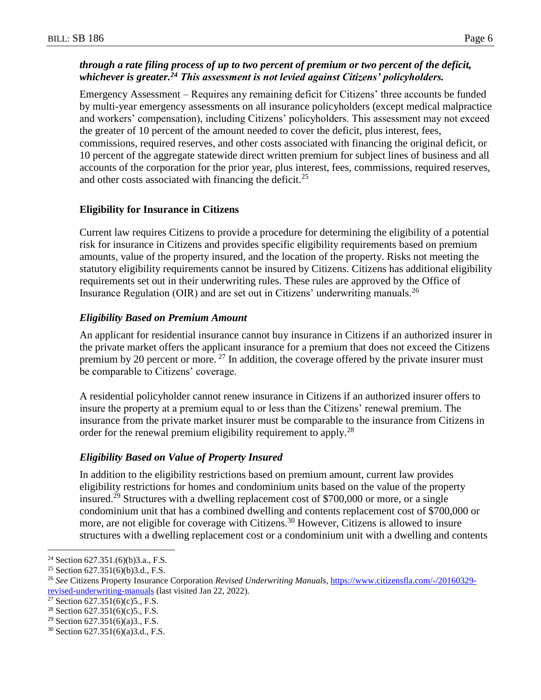## *through a rate filing process of up to two percent of premium or two percent of the deficit, whichever is greater.<sup>24</sup> This assessment is not levied against Citizens' policyholders.*

Emergency Assessment – Requires any remaining deficit for Citizens' three accounts be funded by multi-year emergency assessments on all insurance policyholders (except medical malpractice and workers' compensation), including Citizens' policyholders. This assessment may not exceed the greater of 10 percent of the amount needed to cover the deficit, plus interest, fees, commissions, required reserves, and other costs associated with financing the original deficit, or 10 percent of the aggregate statewide direct written premium for subject lines of business and all accounts of the corporation for the prior year, plus interest, fees, commissions, required reserves, and other costs associated with financing the deficit.<sup>25</sup>

### **Eligibility for Insurance in Citizens**

Current law requires Citizens to provide a procedure for determining the eligibility of a potential risk for insurance in Citizens and provides specific eligibility requirements based on premium amounts, value of the property insured, and the location of the property. Risks not meeting the statutory eligibility requirements cannot be insured by Citizens. Citizens has additional eligibility requirements set out in their underwriting rules. These rules are approved by the Office of Insurance Regulation (OIR) and are set out in Citizens' underwriting manuals.<sup>26</sup>

## *Eligibility Based on Premium Amount*

An applicant for residential insurance cannot buy insurance in Citizens if an authorized insurer in the private market offers the applicant insurance for a premium that does not exceed the Citizens premium by 20 percent or more.<sup>27</sup> In addition, the coverage offered by the private insurer must be comparable to Citizens' coverage.

A residential policyholder cannot renew insurance in Citizens if an authorized insurer offers to insure the property at a premium equal to or less than the Citizens' renewal premium. The insurance from the private market insurer must be comparable to the insurance from Citizens in order for the renewal premium eligibility requirement to apply.<sup>28</sup>

### *Eligibility Based on Value of Property Insured*

In addition to the eligibility restrictions based on premium amount, current law provides eligibility restrictions for homes and condominium units based on the value of the property insured.<sup>29</sup> Structures with a dwelling replacement cost of \$700,000 or more, or a single condominium unit that has a combined dwelling and contents replacement cost of \$700,000 or more, are not eligible for coverage with Citizens.<sup>30</sup> However, Citizens is allowed to insure structures with a dwelling replacement cost or a condominium unit with a dwelling and contents

<sup>&</sup>lt;sup>24</sup> Section 627.351.(6)(b)3.a., F.S.

<sup>25</sup> Section 627.351(6)(b)3.d., F.S.

<sup>26</sup> *See* Citizens Property Insurance Corporation *Revised Underwriting Manuals*, [https://www.citizensfla.com/-/20160329](https://www.citizensfla.com/-/20160329-revised-underwriting-manuals) [revised-underwriting-manuals](https://www.citizensfla.com/-/20160329-revised-underwriting-manuals) (last visited Jan 22, 2022).

<sup>&</sup>lt;sup>27</sup> Section 627.351(6)(c)5., F.S.

<sup>&</sup>lt;sup>28</sup> Section  $627.351(6)(c)5$ ., F.S.

<sup>&</sup>lt;sup>29</sup> Section 627.351(6)(a)3., F.S.

<sup>30</sup> Section 627.351(6)(a)3.d., F.S.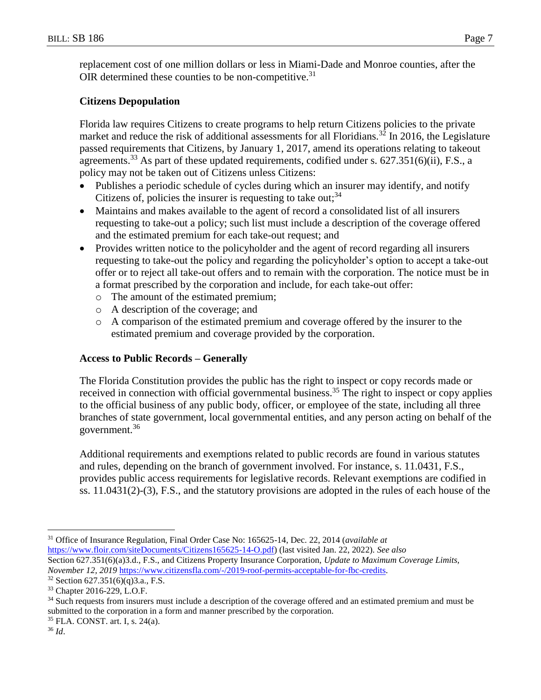replacement cost of one million dollars or less in Miami-Dade and Monroe counties, after the OIR determined these counties to be non-competitive.<sup>31</sup>

# **Citizens Depopulation**

Florida law requires Citizens to create programs to help return Citizens policies to the private market and reduce the risk of additional assessments for all Floridians.<sup>32</sup> In 2016, the Legislature passed requirements that Citizens, by January 1, 2017, amend its operations relating to takeout agreements.<sup>33</sup> As part of these updated requirements, codified under s.  $627.351(6)(ii)$ , F.S., a policy may not be taken out of Citizens unless Citizens:

- Publishes a periodic schedule of cycles during which an insurer may identify, and notify Citizens of, policies the insurer is requesting to take out;  $34$
- Maintains and makes available to the agent of record a consolidated list of all insurers requesting to take-out a policy; such list must include a description of the coverage offered and the estimated premium for each take-out request; and
- Provides written notice to the policyholder and the agent of record regarding all insurers requesting to take-out the policy and regarding the policyholder's option to accept a take-out offer or to reject all take-out offers and to remain with the corporation. The notice must be in a format prescribed by the corporation and include, for each take-out offer:
	- o The amount of the estimated premium;
	- o A description of the coverage; and
	- o A comparison of the estimated premium and coverage offered by the insurer to the estimated premium and coverage provided by the corporation.

## **Access to Public Records – Generally**

The Florida Constitution provides the public has the right to inspect or copy records made or received in connection with official governmental business.<sup>35</sup> The right to inspect or copy applies to the official business of any public body, officer, or employee of the state, including all three branches of state government, local governmental entities, and any person acting on behalf of the government.<sup>36</sup>

Additional requirements and exemptions related to public records are found in various statutes and rules, depending on the branch of government involved. For instance, s. 11.0431, F.S., provides public access requirements for legislative records. Relevant exemptions are codified in ss. 11.0431(2)-(3), F.S., and the statutory provisions are adopted in the rules of each house of the

<sup>35</sup> FLA. CONST. art. I, s. 24(a).

<sup>31</sup> Office of Insurance Regulation, Final Order Case No: 165625-14, Dec. 22, 2014 (*available at* [https://www.floir.com/siteDocuments/Citizens165625-14-O.pdf\)](https://www.floir.com/siteDocuments/Citizens165625-14-O.pdf) (last visited Jan. 22, 2022). *See also* Section 627.351(6)(a)3.d., F.S., and Citizens Property Insurance Corporation, *Update to Maximum Coverage Limits, November 12, 2019* [https://www.citizensfla.com/-/2019-roof-permits-acceptable-for-fbc-credits.](https://www.citizensfla.com/-/2019-roof-permits-acceptable-for-fbc-credits)

 $32$  Section 627.351(6)(q)3.a., F.S.

<sup>33</sup> Chapter 2016-229, L.O.F.

<sup>&</sup>lt;sup>34</sup> Such requests from insurers must include a description of the coverage offered and an estimated premium and must be submitted to the corporation in a form and manner prescribed by the corporation.

<sup>36</sup> *Id*.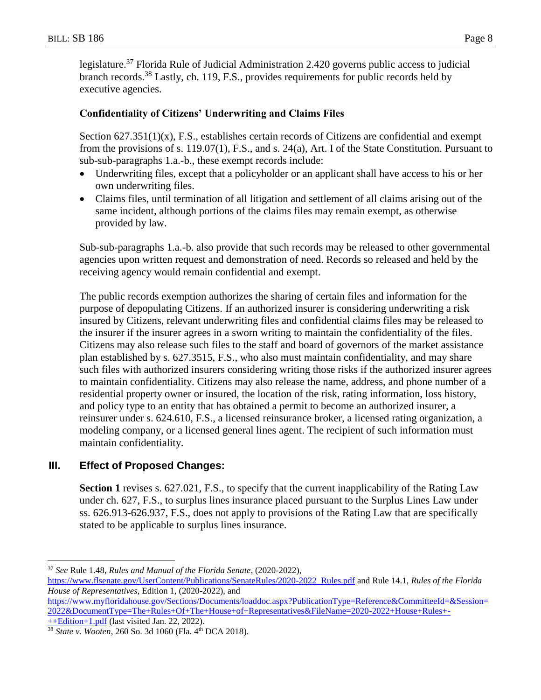legislature.<sup>37</sup> Florida Rule of Judicial Administration 2.420 governs public access to judicial branch records.<sup>38</sup> Lastly, ch. 119, F.S., provides requirements for public records held by executive agencies.

# **Confidentiality of Citizens' Underwriting and Claims Files**

Section  $627.351(1)(x)$ , F.S., establishes certain records of Citizens are confidential and exempt from the provisions of s. 119.07(1), F.S., and s. 24(a), Art. I of the State Constitution. Pursuant to sub-sub-paragraphs 1.a.-b., these exempt records include:

- Underwriting files, except that a policyholder or an applicant shall have access to his or her own underwriting files.
- Claims files, until termination of all litigation and settlement of all claims arising out of the same incident, although portions of the claims files may remain exempt, as otherwise provided by law.

Sub-sub-paragraphs 1.a.-b. also provide that such records may be released to other governmental agencies upon written request and demonstration of need. Records so released and held by the receiving agency would remain confidential and exempt.

The public records exemption authorizes the sharing of certain files and information for the purpose of depopulating Citizens. If an authorized insurer is considering underwriting a risk insured by Citizens, relevant underwriting files and confidential claims files may be released to the insurer if the insurer agrees in a sworn writing to maintain the confidentiality of the files. Citizens may also release such files to the staff and board of governors of the market assistance plan established by s. 627.3515, F.S., who also must maintain confidentiality, and may share such files with authorized insurers considering writing those risks if the authorized insurer agrees to maintain confidentiality. Citizens may also release the name, address, and phone number of a residential property owner or insured, the location of the risk, rating information, loss history, and policy type to an entity that has obtained a permit to become an authorized insurer, a reinsurer under s. 624.610, F.S., a licensed reinsurance broker, a licensed rating organization, a modeling company, or a licensed general lines agent. The recipient of such information must maintain confidentiality.

# **III. Effect of Proposed Changes:**

**Section 1** revises s. 627.021, F.S., to specify that the current inapplicability of the Rating Law under ch. 627, F.S., to surplus lines insurance placed pursuant to the Surplus Lines Law under ss. 626.913-626.937, F.S., does not apply to provisions of the Rating Law that are specifically stated to be applicable to surplus lines insurance.

[++Edition+1.pdf](https://www.myfloridahouse.gov/Sections/Documents/loaddoc.aspx?PublicationType=Reference&CommitteeId=&Session=2022&DocumentType=The+Rules+Of+The+House+of+Representatives&FileName=2020-2022+House+Rules+-++Edition+1.pdf) (last visited Jan. 22, 2022).

<sup>37</sup> *See* Rule 1.48, *Rules and Manual of the Florida Senate*, (2020-2022),

[https://www.flsenate.gov/UserContent/Publications/SenateRules/2020-2022\\_Rules.pdf](https://www.flsenate.gov/UserContent/Publications/SenateRules/2020-2022_Rules.pdf) and Rule 14.1, *Rules of the Florida House of Representatives*, Edition 1, (2020-2022), and

[https://www.myfloridahouse.gov/Sections/Documents/loaddoc.aspx?PublicationType=Reference&CommitteeId=&Session=](https://www.myfloridahouse.gov/Sections/Documents/loaddoc.aspx?PublicationType=Reference&CommitteeId=&Session=2022&DocumentType=The+Rules+Of+The+House+of+Representatives&FileName=2020-2022+House+Rules+-++Edition+1.pdf) [2022&DocumentType=The+Rules+Of+The+House+of+Representatives&FileName=2020-2022+House+Rules+-](https://www.myfloridahouse.gov/Sections/Documents/loaddoc.aspx?PublicationType=Reference&CommitteeId=&Session=2022&DocumentType=The+Rules+Of+The+House+of+Representatives&FileName=2020-2022+House+Rules+-++Edition+1.pdf)

<sup>&</sup>lt;sup>38</sup> *State v. Wooten*, 260 So. 3d 1060 (Fla. 4<sup>th</sup> DCA 2018).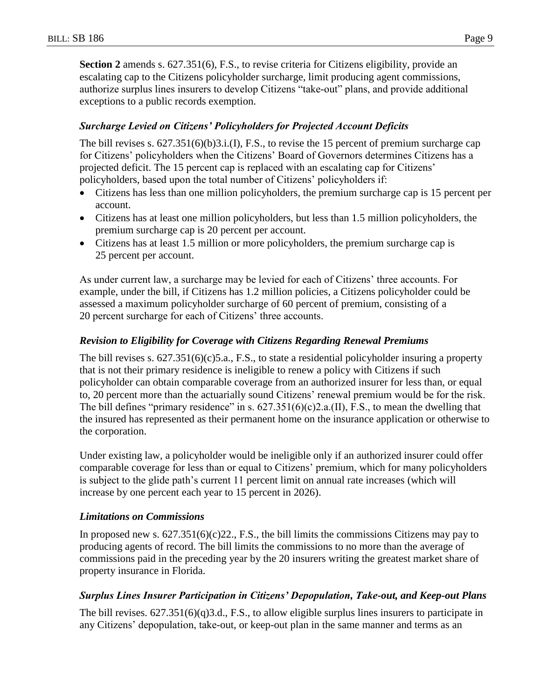**Section 2** amends s. 627.351(6), F.S., to revise criteria for Citizens eligibility, provide an escalating cap to the Citizens policyholder surcharge, limit producing agent commissions, authorize surplus lines insurers to develop Citizens "take-out" plans, and provide additional exceptions to a public records exemption.

## *Surcharge Levied on Citizens' Policyholders for Projected Account Deficits*

The bill revises s. 627.351(6)(b)3.i.(I), F.S., to revise the 15 percent of premium surcharge cap for Citizens' policyholders when the Citizens' Board of Governors determines Citizens has a projected deficit. The 15 percent cap is replaced with an escalating cap for Citizens' policyholders, based upon the total number of Citizens' policyholders if:

- Citizens has less than one million policyholders, the premium surcharge cap is 15 percent per account.
- Citizens has at least one million policyholders, but less than 1.5 million policyholders, the premium surcharge cap is 20 percent per account.
- Citizens has at least 1.5 million or more policyholders, the premium surcharge cap is 25 percent per account.

As under current law, a surcharge may be levied for each of Citizens' three accounts. For example, under the bill, if Citizens has 1.2 million policies, a Citizens policyholder could be assessed a maximum policyholder surcharge of 60 percent of premium, consisting of a 20 percent surcharge for each of Citizens' three accounts.

## *Revision to Eligibility for Coverage with Citizens Regarding Renewal Premiums*

The bill revises s. 627.351(6)(c)5.a., F.S., to state a residential policyholder insuring a property that is not their primary residence is ineligible to renew a policy with Citizens if such policyholder can obtain comparable coverage from an authorized insurer for less than, or equal to, 20 percent more than the actuarially sound Citizens' renewal premium would be for the risk. The bill defines "primary residence" in s.  $627.351(6)(c)2.a.(II)$ , F.S., to mean the dwelling that the insured has represented as their permanent home on the insurance application or otherwise to the corporation.

Under existing law, a policyholder would be ineligible only if an authorized insurer could offer comparable coverage for less than or equal to Citizens' premium, which for many policyholders is subject to the glide path's current 11 percent limit on annual rate increases (which will increase by one percent each year to 15 percent in 2026).

### *Limitations on Commissions*

In proposed new s. 627.351(6)(c)22., F.S., the bill limits the commissions Citizens may pay to producing agents of record. The bill limits the commissions to no more than the average of commissions paid in the preceding year by the 20 insurers writing the greatest market share of property insurance in Florida.

### *Surplus Lines Insurer Participation in Citizens' Depopulation, Take-out, and Keep-out Plans*

The bill revises. 627.351(6)(q)3.d., F.S., to allow eligible surplus lines insurers to participate in any Citizens' depopulation, take-out, or keep-out plan in the same manner and terms as an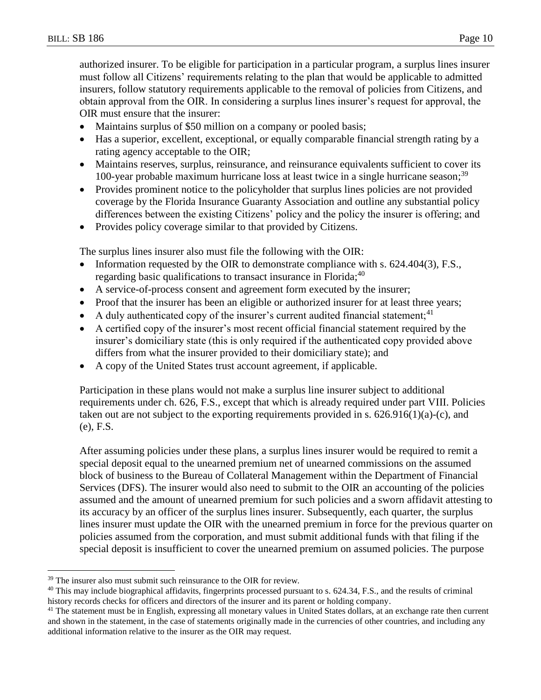authorized insurer. To be eligible for participation in a particular program, a surplus lines insurer must follow all Citizens' requirements relating to the plan that would be applicable to admitted insurers, follow statutory requirements applicable to the removal of policies from Citizens, and obtain approval from the OIR. In considering a surplus lines insurer's request for approval, the OIR must ensure that the insurer:

- Maintains surplus of \$50 million on a company or pooled basis;
- Has a superior, excellent, exceptional, or equally comparable financial strength rating by a rating agency acceptable to the OIR;
- Maintains reserves, surplus, reinsurance, and reinsurance equivalents sufficient to cover its 100-year probable maximum hurricane loss at least twice in a single hurricane season;<sup>39</sup>
- Provides prominent notice to the policyholder that surplus lines policies are not provided coverage by the Florida Insurance Guaranty Association and outline any substantial policy differences between the existing Citizens' policy and the policy the insurer is offering; and
- Provides policy coverage similar to that provided by Citizens.

The surplus lines insurer also must file the following with the OIR:

- Information requested by the OIR to demonstrate compliance with s.  $624.404(3)$ , F.S., regarding basic qualifications to transact insurance in Florida;  $40$
- A service-of-process consent and agreement form executed by the insurer;
- Proof that the insurer has been an eligible or authorized insurer for at least three years;
- A duly authenticated copy of the insurer's current audited financial statement;<sup>41</sup>
- A certified copy of the insurer's most recent official financial statement required by the insurer's domiciliary state (this is only required if the authenticated copy provided above differs from what the insurer provided to their domiciliary state); and
- A copy of the United States trust account agreement, if applicable.

Participation in these plans would not make a surplus line insurer subject to additional requirements under ch. 626, F.S., except that which is already required under part VIII. Policies taken out are not subject to the exporting requirements provided in s.  $626.916(1)(a)-(c)$ , and (e), F.S.

After assuming policies under these plans, a surplus lines insurer would be required to remit a special deposit equal to the unearned premium net of unearned commissions on the assumed block of business to the Bureau of Collateral Management within the Department of Financial Services (DFS). The insurer would also need to submit to the OIR an accounting of the policies assumed and the amount of unearned premium for such policies and a sworn affidavit attesting to its accuracy by an officer of the surplus lines insurer. Subsequently, each quarter, the surplus lines insurer must update the OIR with the unearned premium in force for the previous quarter on policies assumed from the corporation, and must submit additional funds with that filing if the special deposit is insufficient to cover the unearned premium on assumed policies. The purpose

<sup>&</sup>lt;sup>39</sup> The insurer also must submit such reinsurance to the OIR for review.

 $40$  This may include biographical affidavits, fingerprints processed pursuant to s. 624.34, F.S., and the results of criminal history records checks for officers and directors of the insurer and its parent or holding company.

<sup>&</sup>lt;sup>41</sup> The statement must be in English, expressing all monetary values in United States dollars, at an exchange rate then current and shown in the statement, in the case of statements originally made in the currencies of other countries, and including any additional information relative to the insurer as the OIR may request.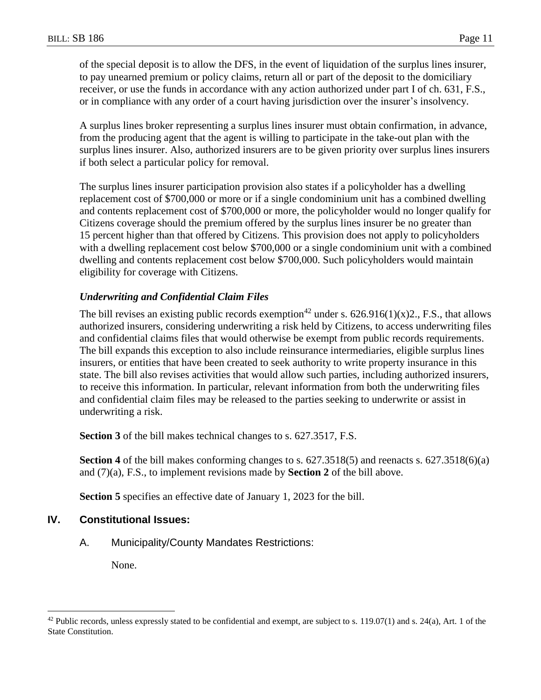of the special deposit is to allow the DFS, in the event of liquidation of the surplus lines insurer, to pay unearned premium or policy claims, return all or part of the deposit to the domiciliary receiver, or use the funds in accordance with any action authorized under part I of ch. 631, F.S., or in compliance with any order of a court having jurisdiction over the insurer's insolvency.

A surplus lines broker representing a surplus lines insurer must obtain confirmation, in advance, from the producing agent that the agent is willing to participate in the take-out plan with the surplus lines insurer. Also, authorized insurers are to be given priority over surplus lines insurers if both select a particular policy for removal.

The surplus lines insurer participation provision also states if a policyholder has a dwelling replacement cost of \$700,000 or more or if a single condominium unit has a combined dwelling and contents replacement cost of \$700,000 or more, the policyholder would no longer qualify for Citizens coverage should the premium offered by the surplus lines insurer be no greater than 15 percent higher than that offered by Citizens. This provision does not apply to policyholders with a dwelling replacement cost below \$700,000 or a single condominium unit with a combined dwelling and contents replacement cost below \$700,000. Such policyholders would maintain eligibility for coverage with Citizens.

### *Underwriting and Confidential Claim Files*

The bill revises an existing public records exemption<sup>42</sup> under s.  $626.916(1)(x)2$ , F.S., that allows authorized insurers, considering underwriting a risk held by Citizens, to access underwriting files and confidential claims files that would otherwise be exempt from public records requirements. The bill expands this exception to also include reinsurance intermediaries, eligible surplus lines insurers, or entities that have been created to seek authority to write property insurance in this state. The bill also revises activities that would allow such parties, including authorized insurers, to receive this information. In particular, relevant information from both the underwriting files and confidential claim files may be released to the parties seeking to underwrite or assist in underwriting a risk.

**Section 3** of the bill makes technical changes to s. 627.3517, F.S.

**Section 4** of the bill makes conforming changes to s. 627.3518(5) and reenacts s. 627.3518(6)(a) and (7)(a), F.S., to implement revisions made by **Section 2** of the bill above.

**Section 5** specifies an effective date of January 1, 2023 for the bill.

#### **IV. Constitutional Issues:**

A. Municipality/County Mandates Restrictions:

None.

 $42$  Public records, unless expressly stated to be confidential and exempt, are subject to s. 119.07(1) and s. 24(a), Art. 1 of the State Constitution.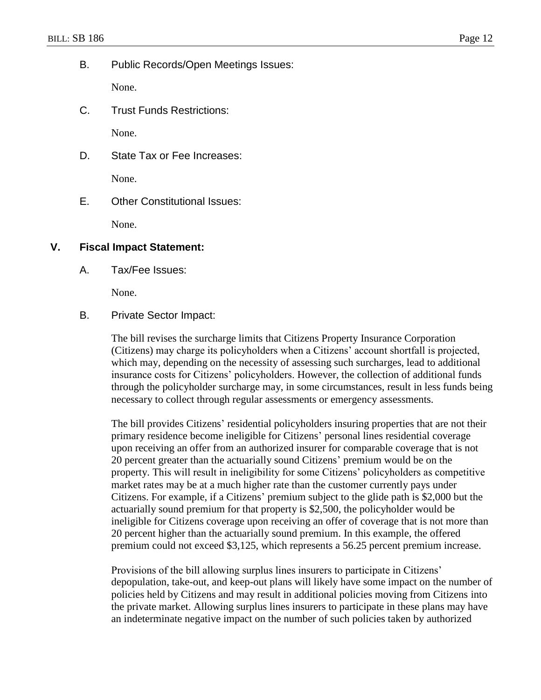B. Public Records/Open Meetings Issues:

None.

C. Trust Funds Restrictions:

None.

D. State Tax or Fee Increases:

None.

E. Other Constitutional Issues:

None.

### **V. Fiscal Impact Statement:**

A. Tax/Fee Issues:

None.

B. Private Sector Impact:

The bill revises the surcharge limits that Citizens Property Insurance Corporation (Citizens) may charge its policyholders when a Citizens' account shortfall is projected, which may, depending on the necessity of assessing such surcharges, lead to additional insurance costs for Citizens' policyholders. However, the collection of additional funds through the policyholder surcharge may, in some circumstances, result in less funds being necessary to collect through regular assessments or emergency assessments.

The bill provides Citizens' residential policyholders insuring properties that are not their primary residence become ineligible for Citizens' personal lines residential coverage upon receiving an offer from an authorized insurer for comparable coverage that is not 20 percent greater than the actuarially sound Citizens' premium would be on the property. This will result in ineligibility for some Citizens' policyholders as competitive market rates may be at a much higher rate than the customer currently pays under Citizens. For example, if a Citizens' premium subject to the glide path is \$2,000 but the actuarially sound premium for that property is \$2,500, the policyholder would be ineligible for Citizens coverage upon receiving an offer of coverage that is not more than 20 percent higher than the actuarially sound premium. In this example, the offered premium could not exceed \$3,125, which represents a 56.25 percent premium increase.

Provisions of the bill allowing surplus lines insurers to participate in Citizens' depopulation, take-out, and keep-out plans will likely have some impact on the number of policies held by Citizens and may result in additional policies moving from Citizens into the private market. Allowing surplus lines insurers to participate in these plans may have an indeterminate negative impact on the number of such policies taken by authorized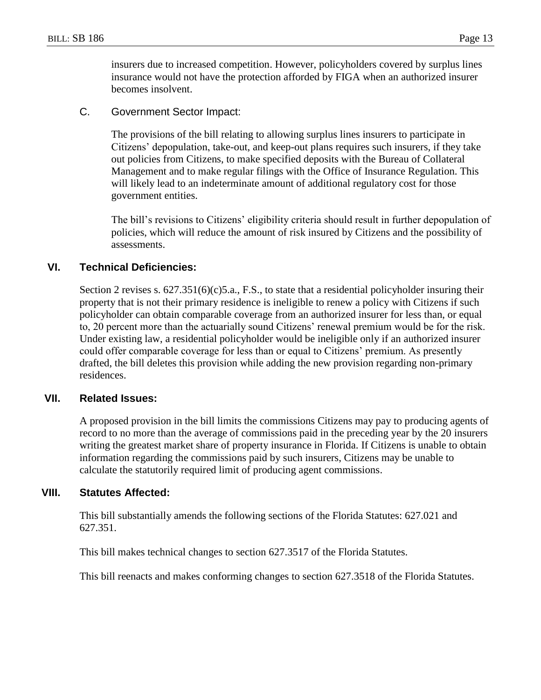insurers due to increased competition. However, policyholders covered by surplus lines insurance would not have the protection afforded by FIGA when an authorized insurer becomes insolvent.

C. Government Sector Impact:

The provisions of the bill relating to allowing surplus lines insurers to participate in Citizens' depopulation, take-out, and keep-out plans requires such insurers, if they take out policies from Citizens, to make specified deposits with the Bureau of Collateral Management and to make regular filings with the Office of Insurance Regulation. This will likely lead to an indeterminate amount of additional regulatory cost for those government entities.

The bill's revisions to Citizens' eligibility criteria should result in further depopulation of policies, which will reduce the amount of risk insured by Citizens and the possibility of assessments.

### **VI. Technical Deficiencies:**

Section 2 revises s.  $627.351(6)(c)5.a., F.S.,$  to state that a residential policyholder insuring their property that is not their primary residence is ineligible to renew a policy with Citizens if such policyholder can obtain comparable coverage from an authorized insurer for less than, or equal to, 20 percent more than the actuarially sound Citizens' renewal premium would be for the risk. Under existing law, a residential policyholder would be ineligible only if an authorized insurer could offer comparable coverage for less than or equal to Citizens' premium. As presently drafted, the bill deletes this provision while adding the new provision regarding non-primary residences.

#### **VII. Related Issues:**

A proposed provision in the bill limits the commissions Citizens may pay to producing agents of record to no more than the average of commissions paid in the preceding year by the 20 insurers writing the greatest market share of property insurance in Florida. If Citizens is unable to obtain information regarding the commissions paid by such insurers, Citizens may be unable to calculate the statutorily required limit of producing agent commissions.

#### **VIII. Statutes Affected:**

This bill substantially amends the following sections of the Florida Statutes: 627.021 and 627.351.

This bill makes technical changes to section 627.3517 of the Florida Statutes.

This bill reenacts and makes conforming changes to section 627.3518 of the Florida Statutes.